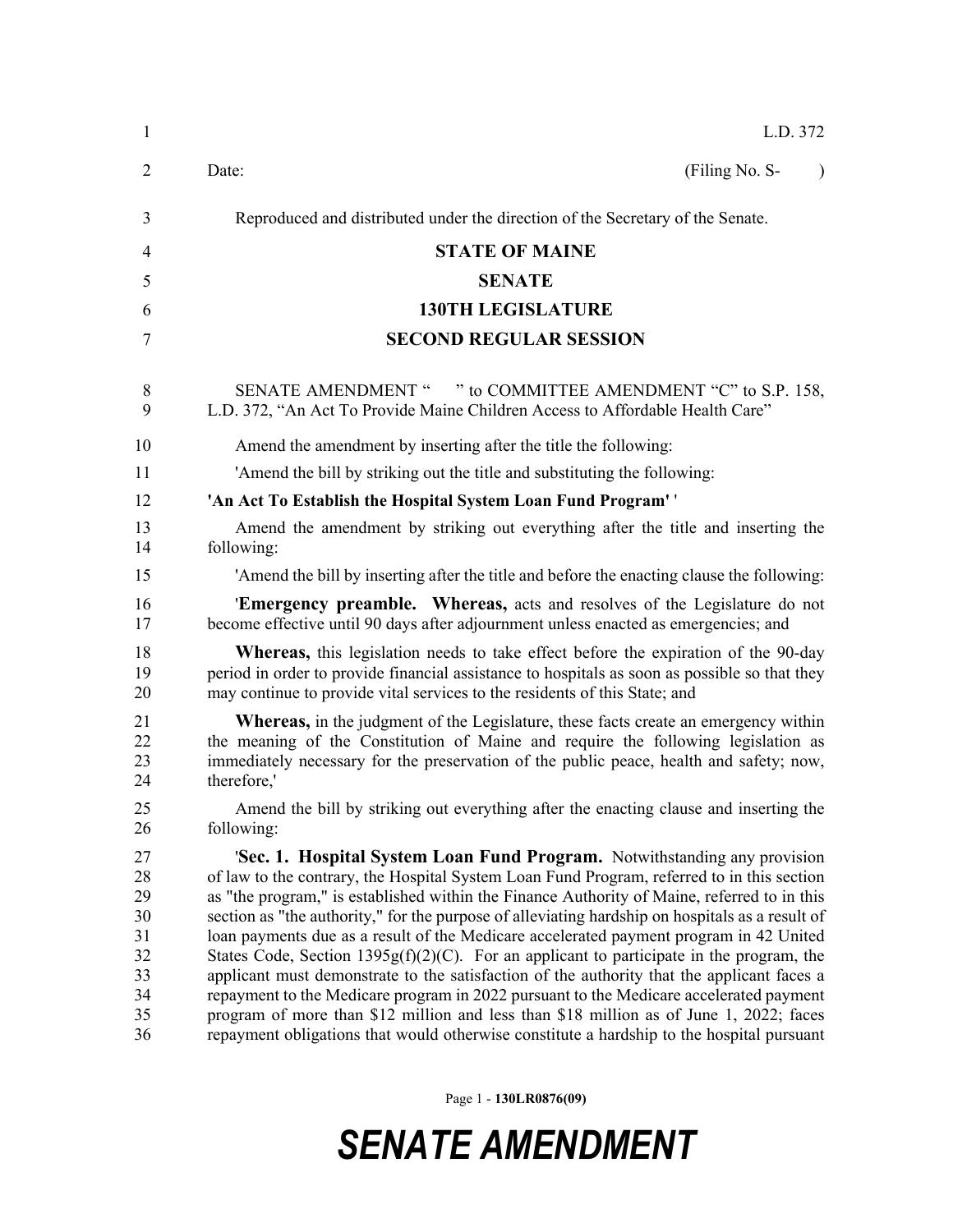| L.D. 372                                                                                                                                                                                                                                                                                                                                                                                                                                                                                                                                                                                                                                                                                                                                                                                                                                                                                                                                          |  |  |
|---------------------------------------------------------------------------------------------------------------------------------------------------------------------------------------------------------------------------------------------------------------------------------------------------------------------------------------------------------------------------------------------------------------------------------------------------------------------------------------------------------------------------------------------------------------------------------------------------------------------------------------------------------------------------------------------------------------------------------------------------------------------------------------------------------------------------------------------------------------------------------------------------------------------------------------------------|--|--|
| Date:<br>(Filing No. S-                                                                                                                                                                                                                                                                                                                                                                                                                                                                                                                                                                                                                                                                                                                                                                                                                                                                                                                           |  |  |
| Reproduced and distributed under the direction of the Secretary of the Senate.                                                                                                                                                                                                                                                                                                                                                                                                                                                                                                                                                                                                                                                                                                                                                                                                                                                                    |  |  |
| <b>STATE OF MAINE</b>                                                                                                                                                                                                                                                                                                                                                                                                                                                                                                                                                                                                                                                                                                                                                                                                                                                                                                                             |  |  |
| <b>SENATE</b>                                                                                                                                                                                                                                                                                                                                                                                                                                                                                                                                                                                                                                                                                                                                                                                                                                                                                                                                     |  |  |
| <b>130TH LEGISLATURE</b>                                                                                                                                                                                                                                                                                                                                                                                                                                                                                                                                                                                                                                                                                                                                                                                                                                                                                                                          |  |  |
| <b>SECOND REGULAR SESSION</b>                                                                                                                                                                                                                                                                                                                                                                                                                                                                                                                                                                                                                                                                                                                                                                                                                                                                                                                     |  |  |
| SENATE AMENDMENT " " to COMMITTEE AMENDMENT "C" to S.P. 158,<br>L.D. 372, "An Act To Provide Maine Children Access to Affordable Health Care"                                                                                                                                                                                                                                                                                                                                                                                                                                                                                                                                                                                                                                                                                                                                                                                                     |  |  |
| Amend the amendment by inserting after the title the following:                                                                                                                                                                                                                                                                                                                                                                                                                                                                                                                                                                                                                                                                                                                                                                                                                                                                                   |  |  |
| 'Amend the bill by striking out the title and substituting the following:                                                                                                                                                                                                                                                                                                                                                                                                                                                                                                                                                                                                                                                                                                                                                                                                                                                                         |  |  |
| 'An Act To Establish the Hospital System Loan Fund Program''                                                                                                                                                                                                                                                                                                                                                                                                                                                                                                                                                                                                                                                                                                                                                                                                                                                                                      |  |  |
| Amend the amendment by striking out everything after the title and inserting the<br>following:                                                                                                                                                                                                                                                                                                                                                                                                                                                                                                                                                                                                                                                                                                                                                                                                                                                    |  |  |
| 'Amend the bill by inserting after the title and before the enacting clause the following:                                                                                                                                                                                                                                                                                                                                                                                                                                                                                                                                                                                                                                                                                                                                                                                                                                                        |  |  |
| <b>Emergency preamble.</b> Whereas, acts and resolves of the Legislature do not<br>become effective until 90 days after adjournment unless enacted as emergencies; and                                                                                                                                                                                                                                                                                                                                                                                                                                                                                                                                                                                                                                                                                                                                                                            |  |  |
| <b>Whereas</b> , this legislation needs to take effect before the expiration of the 90-day<br>period in order to provide financial assistance to hospitals as soon as possible so that they<br>may continue to provide vital services to the residents of this State; and                                                                                                                                                                                                                                                                                                                                                                                                                                                                                                                                                                                                                                                                         |  |  |
| <b>Whereas,</b> in the judgment of the Legislature, these facts create an emergency within<br>the meaning of the Constitution of Maine and require the following legislation as<br>immediately necessary for the preservation of the public peace, health and safety; now,<br>therefore,'                                                                                                                                                                                                                                                                                                                                                                                                                                                                                                                                                                                                                                                         |  |  |
| Amend the bill by striking out everything after the enacting clause and inserting the<br>following:                                                                                                                                                                                                                                                                                                                                                                                                                                                                                                                                                                                                                                                                                                                                                                                                                                               |  |  |
| 'Sec. 1. Hospital System Loan Fund Program. Notwithstanding any provision<br>of law to the contrary, the Hospital System Loan Fund Program, referred to in this section<br>as "the program," is established within the Finance Authority of Maine, referred to in this<br>section as "the authority," for the purpose of alleviating hardship on hospitals as a result of<br>loan payments due as a result of the Medicare accelerated payment program in 42 United<br>States Code, Section $1395g(f)(2)(C)$ . For an applicant to participate in the program, the<br>applicant must demonstrate to the satisfaction of the authority that the applicant faces a<br>repayment to the Medicare program in 2022 pursuant to the Medicare accelerated payment<br>program of more than \$12 million and less than \$18 million as of June 1, 2022; faces<br>repayment obligations that would otherwise constitute a hardship to the hospital pursuant |  |  |
|                                                                                                                                                                                                                                                                                                                                                                                                                                                                                                                                                                                                                                                                                                                                                                                                                                                                                                                                                   |  |  |

Page 1 - **130LR0876(09)**

## *SENATE AMENDMENT*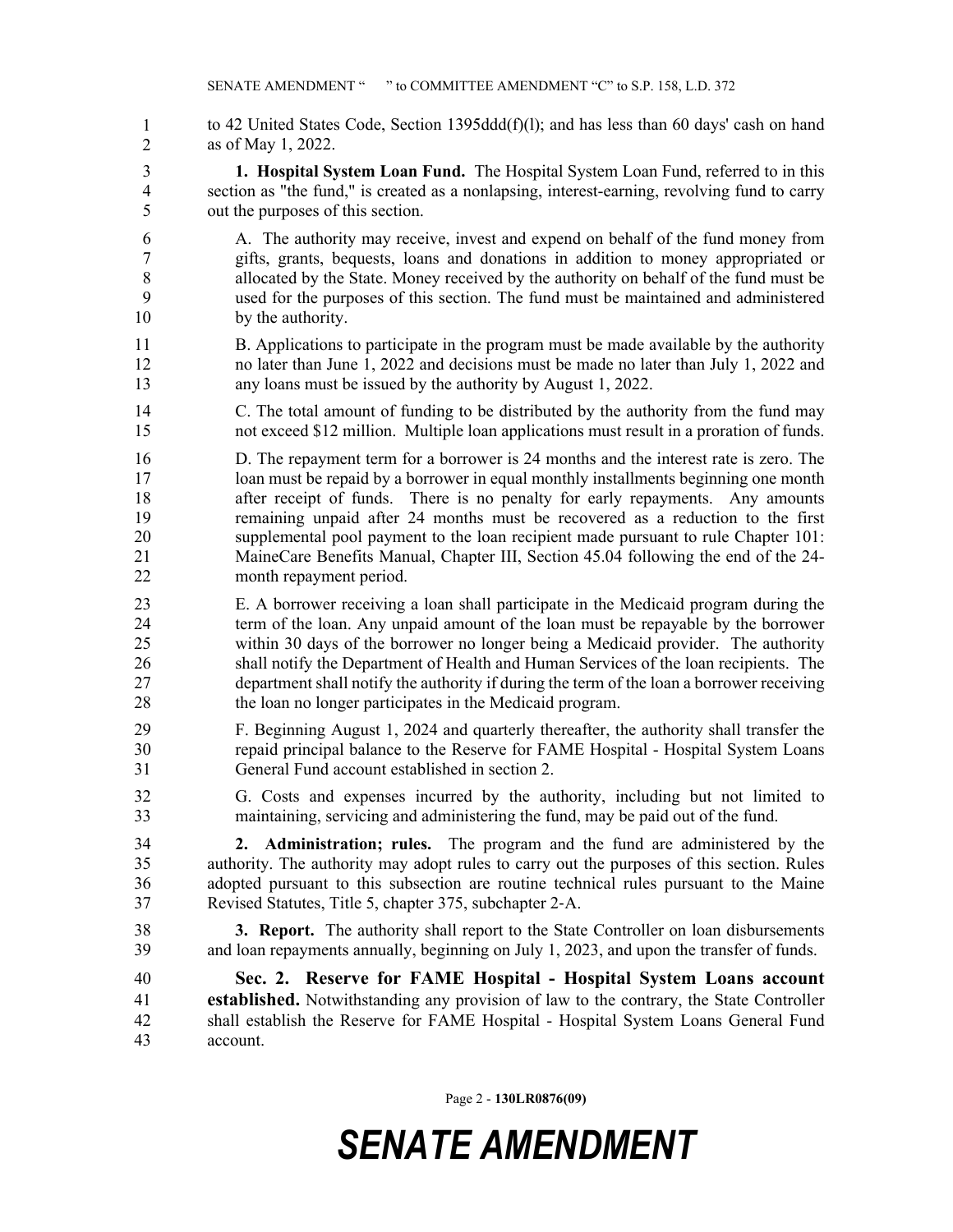- to 42 United States Code, Section 1395dd $d(f)(l)$ ; and has less than 60 days' cash on hand as of May 1, 2022. 1 2
- 3 **1. Hospital System Loan Fund.** The Hospital System Loan Fund, referred to in this 4 section as "the fund," is created as a nonlapsing, interest-earning, revolving fund to carry 5 out the purposes of this section.
- 6 A. The authority may receive, invest and expend on behalf of the fund money from 7 gifts, grants, bequests, loans and donations in addition to money appropriated or 8 allocated by the State. Money received by the authority on behalf of the fund must be 9 used for the purposes of this section. The fund must be maintained and administered 10 by the authority.
- 11 B. Applications to participate in the program must be made available by the authority 12 no later than June 1, 2022 and decisions must be made no later than July 1, 2022 and 13 any loans must be issued by the authority by August 1, 2022.
- 14 C. The total amount of funding to be distributed by the authority from the fund may 15 not exceed \$12 million. Multiple loan applications must result in a proration of funds.
- 16 D. The repayment term for a borrower is 24 months and the interest rate is zero. The 17 loan must be repaid by a borrower in equal monthly installments beginning one month 18 after receipt of funds. There is no penalty for early repayments. Any amounts 19 remaining unpaid after 24 months must be recovered as a reduction to the first 20 supplemental pool payment to the loan recipient made pursuant to rule Chapter 101: 21 MaineCare Benefits Manual, Chapter III, Section 45.04 following the end of the 24- 22 month repayment period.
- 23 E. A borrower receiving a loan shall participate in the Medicaid program during the 24 term of the loan. Any unpaid amount of the loan must be repayable by the borrower 25 within 30 days of the borrower no longer being a Medicaid provider. The authority 26 shall notify the Department of Health and Human Services of the loan recipients. The 27 department shall notify the authority if during the term of the loan a borrower receiving 28 the loan no longer participates in the Medicaid program.
- 29 F. Beginning August 1, 2024 and quarterly thereafter, the authority shall transfer the 30 repaid principal balance to the Reserve for FAME Hospital - Hospital System Loans 31 General Fund account established in section 2.
- 32 G. Costs and expenses incurred by the authority, including but not limited to 33 maintaining, servicing and administering the fund, may be paid out of the fund.

34 **2. Administration; rules.** The program and the fund are administered by the 35 authority. The authority may adopt rules to carry out the purposes of this section. Rules 36 adopted pursuant to this subsection are routine technical rules pursuant to the Maine 37 Revised Statutes, Title 5, chapter 375, subchapter 2‑A.

38 **3. Report.** The authority shall report to the State Controller on loan disbursements 39 and loan repayments annually, beginning on July 1, 2023, and upon the transfer of funds.

40 **Sec. 2. Reserve for FAME Hospital - Hospital System Loans account**  41 **established.** Notwithstanding any provision of law to the contrary, the State Controller 42 shall establish the Reserve for FAME Hospital - Hospital System Loans General Fund 43 account.

Page 2 - **130LR0876(09)**

## *SENATE AMENDMENT*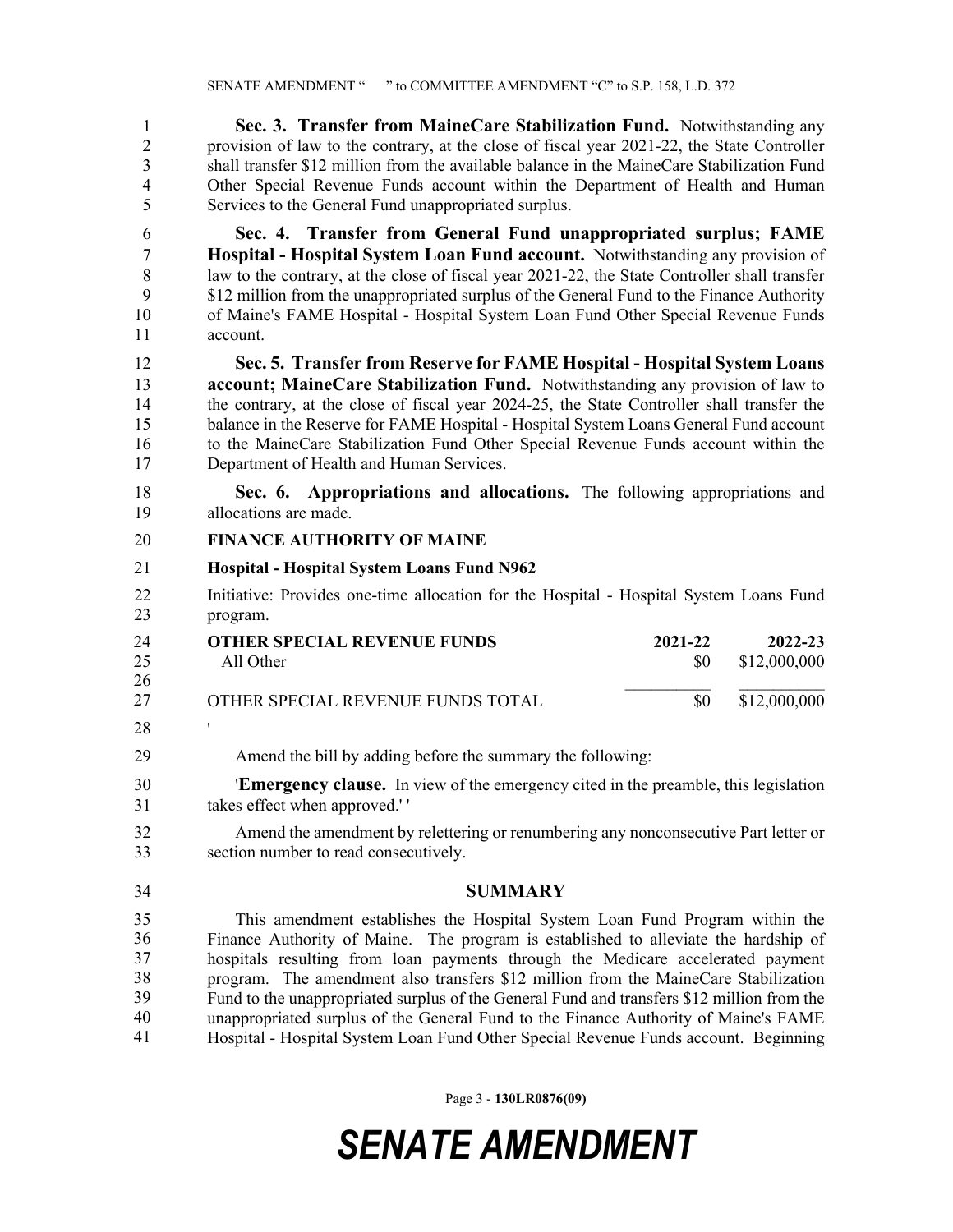1 **Sec. 3. Transfer from MaineCare Stabilization Fund.** Notwithstanding any 2 provision of law to the contrary, at the close of fiscal year 2021-22, the State Controller 3 shall transfer \$12 million from the available balance in the MaineCare Stabilization Fund 4 Other Special Revenue Funds account within the Department of Health and Human 5 Services to the General Fund unappropriated surplus.

6 **Sec. 4. Transfer from General Fund unappropriated surplus; FAME**  7 **Hospital - Hospital System Loan Fund account.** Notwithstanding any provision of 8 law to the contrary, at the close of fiscal year 2021-22, the State Controller shall transfer 9 \$12 million from the unappropriated surplus of the General Fund to the Finance Authority 10 of Maine's FAME Hospital - Hospital System Loan Fund Other Special Revenue Funds 11 account.

12 **Sec. 5. Transfer from Reserve for FAME Hospital - Hospital System Loans**  13 **account; MaineCare Stabilization Fund.** Notwithstanding any provision of law to 14 the contrary, at the close of fiscal year 2024-25, the State Controller shall transfer the 15 balance in the Reserve for FAME Hospital - Hospital System Loans General Fund account 16 to the MaineCare Stabilization Fund Other Special Revenue Funds account within the 17 Department of Health and Human Services.

18 **Sec. 6. Appropriations and allocations.** The following appropriations and 19 allocations are made.

## 20 **FINANCE AUTHORITY OF MAINE**

- 21 **Hospital Hospital System Loans Fund N962**
- 22 Initiative: Provides one-time allocation for the Hospital Hospital System Loans Fund 23 program.

| 24  | <b>OTHER SPECIAL REVENUE FUNDS</b> | 2021-22 | 2022-23      |
|-----|------------------------------------|---------|--------------|
| 25  | All Other                          | SO.     | \$12,000,000 |
| -26 |                                    |         |              |
| 27  | OTHER SPECIAL REVENUE FUNDS TOTAL  | 80      | \$12,000,000 |
| 28  |                                    |         |              |

29 Amend the bill by adding before the summary the following:

30 '**Emergency clause.** In view of the emergency cited in the preamble, this legislation 31 takes effect when approved.' '

32 Amend the amendment by relettering or renumbering any nonconsecutive Part letter or 33 section number to read consecutively.

34 **SUMMARY**

35 This amendment establishes the Hospital System Loan Fund Program within the 36 Finance Authority of Maine. The program is established to alleviate the hardship of hospitals resulting from loan payments through the Medicare accelerated payment program. The amendment also transfers \$12 million from the MaineCare Stabilization Fund to the unappropriated surplus of the General Fund and transfers \$12 million from the unappropriated surplus of the General Fund to the Finance Authority of Maine's FAME 41 Hospital - Hospital System Loan Fund Other Special Revenue Funds account. Beginning 35 36 37 38 39 40 41

Page 3 - **130LR0876(09)**

## *SENATE AMENDMENT*